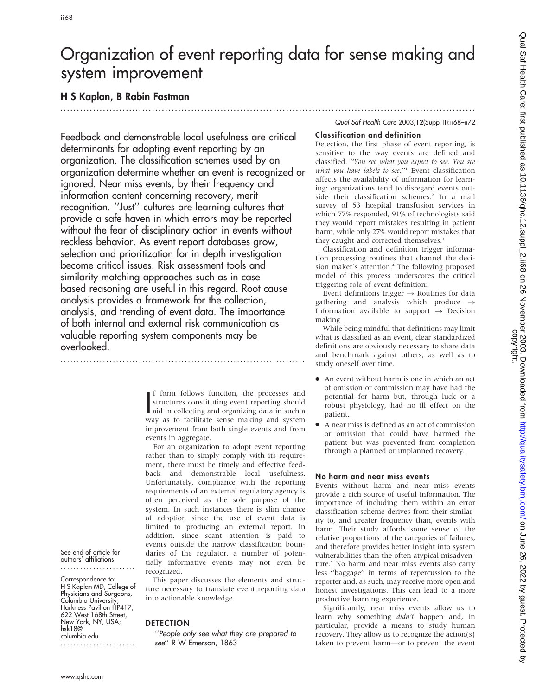# Organization of event reporting data for sense making and system improvement

.............................................................................................................................. .

# H S Kaplan, B Rabin Fastman

Feedback and demonstrable local usefulness are critical determinants for adopting event reporting by an organization. The classification schemes used by an organization determine whether an event is recognized or ignored. Near miss events, by their frequency and information content concerning recovery, merit recognition. ''Just'' cultures are learning cultures that provide a safe haven in which errors may be reported without the fear of disciplinary action in events without reckless behavior. As event report databases grow, selection and prioritization for in depth investigation become critical issues. Risk assessment tools and similarity matching approaches such as in case based reasoning are useful in this regard. Root cause analysis provides a framework for the collection, analysis, and trending of event data. The importance of both internal and external risk communication as valuable reporting system components may be overlooked.

...........................................................................

I form follows function, the processes and<br>structures constituting event reporting should<br>aid in collecting and organizing data in such a<br>w i.e. for intervals f form follows function, the processes and structures constituting event reporting should way as to facilitate sense making and system improvement from both single events and from events in aggregate.

For an organization to adopt event reporting rather than to simply comply with its requirement, there must be timely and effective feedback and demonstrable local usefulness. Unfortunately, compliance with the reporting requirements of an external regulatory agency is often perceived as the sole purpose of the system. In such instances there is slim chance of adoption since the use of event data is limited to producing an external report. In addition, since scant attention is paid to events outside the narrow classification boundaries of the regulator, a number of potentially informative events may not even be recognized.

This paper discusses the elements and structure necessary to translate event reporting data into actionable knowledge.

## **DETECTION**

''People only see what they are prepared to see'' R W Emerson, 1863

# Qual Saf Health Care 2003;12(Suppl II):ii68–ii72

### Classification and definition

Detection, the first phase of event reporting, is sensitive to the way events are defined and classified. ''You see what you expect to see. You see what you have labels to see."<sup>1</sup> Event classification affects the availability of information for learning: organizations tend to disregard events outside their classification schemes.<sup>2</sup> In a mail survey of 53 hospital transfusion services in which 77% responded, 91% of technologists said they would report mistakes resulting in patient harm, while only 27% would report mistakes that they caught and corrected themselves.<sup>3</sup>

Classification and definition trigger information processing routines that channel the decision maker's attention.<sup>4</sup> The following proposed model of this process underscores the critical triggering role of event definition:

Event definitions trigger  $\rightarrow$  Routines for data gathering and analysis which produce  $\rightarrow$ Information available to support  $\rightarrow$  Decision making

While being mindful that definitions may limit what is classified as an event, clear standardized definitions are obviously necessary to share data and benchmark against others, as well as to study oneself over time.

- An event without harm is one in which an act of omission or commission may have had the potential for harm but, through luck or a robust physiology, had no ill effect on the patient.
- N A near miss is defined as an act of commission or omission that could have harmed the patient but was prevented from completion through a planned or unplanned recovery.

#### No harm and near miss events

Events without harm and near miss events provide a rich source of useful information. The importance of including them within an error classification scheme derives from their similarity to, and greater frequency than, events with harm. Their study affords some sense of the relative proportions of the categories of failures, and therefore provides better insight into system vulnerabilities than the often atypical misadventure.<sup>5</sup> No harm and near miss events also carry less ''baggage'' in terms of repercussion to the reporter and, as such, may receive more open and honest investigations. This can lead to a more productive learning experience.

Significantly, near miss events allow us to learn why something didn't happen and, in particular, provide a means to study human recovery. They allow us to recognize the action(s) taken to prevent harm—or to prevent the event

See end of article for authors' affiliations .......................

Correspondence to: H S Kaplan MD, College of Physicians and Surgeons, Columbia University, Harkness Pavilion HP417. 622 West 168th Street, New York, NY, USA; hsk18@ columbia.edu

.......................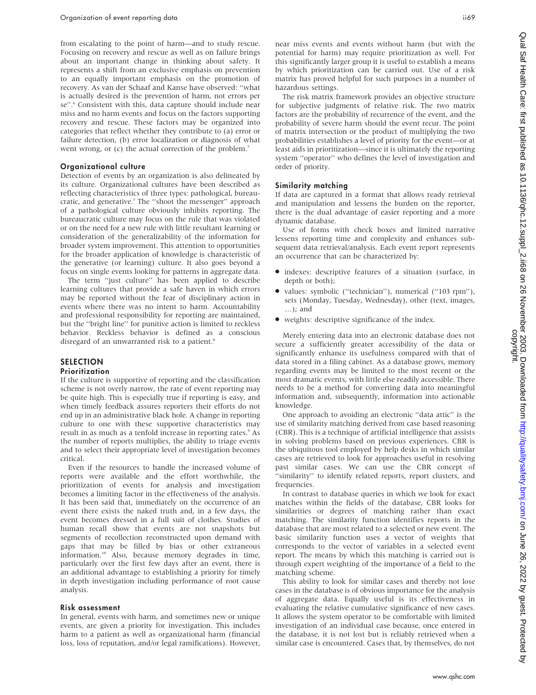from escalating to the point of harm—and to study rescue. Focusing on recovery and rescue as well as on failure brings about an important change in thinking about safety. It represents a shift from an exclusive emphasis on prevention to an equally important emphasis on the promotion of recovery. As van der Schaaf and Kanse have observed: ''what is actually desired is the prevention of harm, not errors per se".<sup>6</sup> Consistent with this, data capture should include near miss and no harm events and focus on the factors supporting recovery and rescue. These factors may be organized into categories that reflect whether they contribute to (a) error or failure detection, (b) error localization or diagnosis of what went wrong, or (c) the actual correction of the problem.<sup>7</sup>

#### Organizational culture

Detection of events by an organization is also delineated by its culture. Organizational cultures have been described as reflecting characteristics of three types: pathological, bureaucratic, and generative.7 The ''shoot the messenger'' approach of a pathological culture obviously inhibits reporting. The bureaucratic culture may focus on the rule that was violated or on the need for a new rule with little resultant learning or consideration of the generalizability of the information for broader system improvement. This attention to opportunities for the broader application of knowledge is characteristic of the generative (or learning) culture. It also goes beyond a focus on single events looking for patterns in aggregate data.

The term ''just culture'' has been applied to describe learning cultures that provide a safe haven in which errors may be reported without the fear of disciplinary action in events where there was no intent to harm. Accountability and professional responsibility for reporting are maintained, but the ''bright line'' for punitive action is limited to reckless behavior. Reckless behavior is defined as a conscious disregard of an unwarranted risk to a patient.<sup>8</sup>

#### **SELECTION** Prioritization

If the culture is supportive of reporting and the classification scheme is not overly narrow, the rate of event reporting may be quite high. This is especially true if reporting is easy, and when timely feedback assures reporters their efforts do not end up in an administrative black hole. A change in reporting culture to one with these supportive characteristics may result in as much as a tenfold increase in reporting rates.<sup>9</sup> As the number of reports multiplies, the ability to triage events and to select their appropriate level of investigation becomes critical.

Even if the resources to handle the increased volume of reports were available and the effort worthwhile, the prioritization of events for analysis and investigation becomes a limiting factor in the effectiveness of the analysis. It has been said that, immediately on the occurrence of an event there exists the naked truth and, in a few days, the event becomes dressed in a full suit of clothes. Studies of human recall show that events are not snapshots but segments of recollection reconstructed upon demand with gaps that may be filled by bias or other extraneous information.10 Also, because memory degrades in time, particularly over the first few days after an event, there is an additional advantage to establishing a priority for timely in depth investigation including performance of root cause analysis.

#### Risk assessment

In general, events with harm, and sometimes new or unique events, are given a priority for investigation. This includes harm to a patient as well as organizational harm (financial loss, loss of reputation, and/or legal ramifications). However, near miss events and events without harm (but with the potential for harm) may require prioritization as well. For this significantly larger group it is useful to establish a means by which prioritization can be carried out. Use of a risk matrix has proved helpful for such purposes in a number of hazardous settings.

The risk matrix framework provides an objective structure for subjective judgments of relative risk. The two matrix factors are the probability of recurrence of the event, and the probability of severe harm should the event recur. The point of matrix intersection or the product of multiplying the two probabilities establishes a level of priority for the event—or at least aids in prioritization—since it is ultimately the reporting system ''operator'' who defines the level of investigation and order of priority.

#### Similarity matching

If data are captured in a format that allows ready retrieval and manipulation and lessens the burden on the reporter, there is the dual advantage of easier reporting and a more dynamic database.

Use of forms with check boxes and limited narrative lessens reporting time and complexity and enhances subsequent data retrieval/analysis. Each event report represents an occurrence that can be characterized by:

- $\bullet$  indexes: descriptive features of a situation (surface, in depth or both);
- N values: symbolic (''technician''), numerical (''103 rpm''), sets (Monday, Tuesday, Wednesday), other (text, images, …); and
- $\bullet$  weights: descriptive significance of the index.

Merely entering data into an electronic database does not secure a sufficiently greater accessibility of the data or significantly enhance its usefulness compared with that of data stored in a filing cabinet. As a database grows, memory regarding events may be limited to the most recent or the most dramatic events, with little else readily accessible. There needs to be a method for converting data into meaningful information and, subsequently, information into actionable knowledge.

One approach to avoiding an electronic ''data attic'' is the use of similarity matching derived from case based reasoning (CBR). This is a technique of artificial intelligence that assists in solving problems based on previous experiences. CBR is the ubiquitous tool employed by help desks in which similar cases are retrieved to look for approaches useful in resolving past similar cases. We can use the CBR concept of "similarity" to identify related reports, report clusters, and frequencies.

In contrast to database queries in which we look for exact matches within the fields of the database, CBR looks for similarities or degrees of matching rather than exact matching. The similarity function identifies reports in the database that are most related to a selected or new event. The basic similarity function uses a vector of weights that corresponds to the vector of variables in a selected event report. The means by which this matching is carried out is through expert weighting of the importance of a field to the matching scheme.

This ability to look for similar cases and thereby not lose cases in the database is of obvious importance for the analysis of aggregate data. Equally useful is its effectiveness in evaluating the relative cumulative significance of new cases. It allows the system operator to be comfortable with limited investigation of an individual case because, once entered in the database, it is not lost but is reliably retrieved when a similar case is encountered. Cases that, by themselves, do not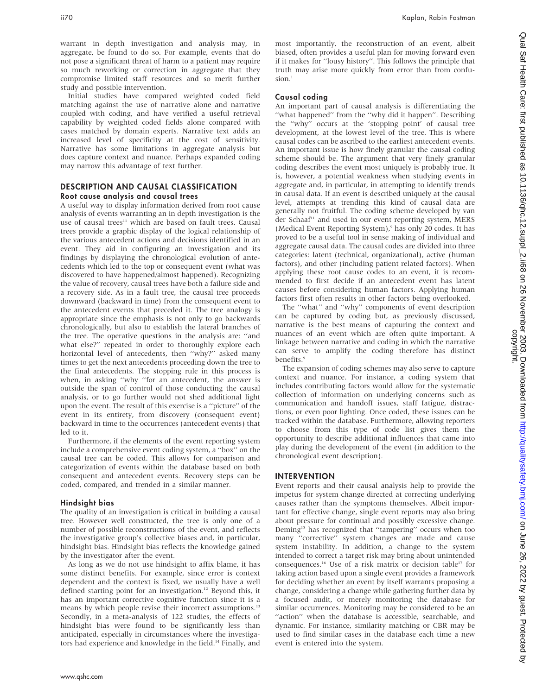warrant in depth investigation and analysis may, in aggregate, be found to do so. For example, events that do not pose a significant threat of harm to a patient may require so much reworking or correction in aggregate that they compromise limited staff resources and so merit further study and possible intervention.

Initial studies have compared weighted coded field matching against the use of narrative alone and narrative coupled with coding, and have verified a useful retrieval capability by weighted coded fields alone compared with cases matched by domain experts. Narrative text adds an increased level of specificity at the cost of sensitivity. Narrative has some limitations in aggregate analysis but does capture context and nuance. Perhaps expanded coding may narrow this advantage of text further.

#### DESCRIPTION AND CAUSAL CLASSIFICATION Root cause analysis and causal trees

A useful way to display information derived from root cause analysis of events warranting an in depth investigation is the use of causal trees<sup>11</sup> which are based on fault trees. Causal trees provide a graphic display of the logical relationship of the various antecedent actions and decisions identified in an event. They aid in configuring an investigation and its findings by displaying the chronological evolution of antecedents which led to the top or consequent event (what was discovered to have happened/almost happened). Recognizing the value of recovery, causal trees have both a failure side and a recovery side. As in a fault tree, the causal tree proceeds downward (backward in time) from the consequent event to the antecedent events that preceded it. The tree analogy is appropriate since the emphasis is not only to go backwards chronologically, but also to establish the lateral branches of the tree. The operative questions in the analysis are: ''and what else?'' repeated in order to thoroughly explore each horizontal level of antecedents, then ''why?'' asked many times to get the next antecedents proceeding down the tree to the final antecedents. The stopping rule in this process is when, in asking ''why ''for an antecedent, the answer is outside the span of control of those conducting the causal analysis, or to go further would not shed additional light upon the event. The result of this exercise is a ''picture'' of the event in its entirety, from discovery (consequent event) backward in time to the occurrences (antecedent events) that led to it.

Furthermore, if the elements of the event reporting system include a comprehensive event coding system, a ''box'' on the causal tree can be coded. This allows for comparison and categorization of events within the database based on both consequent and antecedent events. Recovery steps can be coded, compared, and trended in a similar manner.

#### Hindsight bias

The quality of an investigation is critical in building a causal tree. However well constructed, the tree is only one of a number of possible reconstructions of the event, and reflects the investigative group's collective biases and, in particular, hindsight bias. Hindsight bias reflects the knowledge gained by the investigator after the event.

As long as we do not use hindsight to affix blame, it has some distinct benefits. For example, since error is context dependent and the context is fixed, we usually have a well defined starting point for an investigation.<sup>12</sup> Beyond this, it has an important corrective cognitive function since it is a means by which people revise their incorrect assumptions.<sup>13</sup> Secondly, in a meta-analysis of 122 studies, the effects of hindsight bias were found to be significantly less than anticipated, especially in circumstances where the investigators had experience and knowledge in the field.<sup>14</sup> Finally, and

Qual Saf Health Care: first published as 10.1136/qhc.12.suppl\_2.ii68 on 26 November 2003. Downloaded from lownloaded from safty.bmj.com/ on June 26, 2022 by guest. Protected by<br>copyright. Qual Saf Health Care: first published as 10.1136/qhc.12.suppl\_2.ii68 on 26 November 2003. Downloaded from thp://qualitysafety.bmj.com/ on June 26, 2022 by guest. Protected by

most importantly, the reconstruction of an event, albeit biased, often provides a useful plan for moving forward even if it makes for ''lousy history''. This follows the principle that truth may arise more quickly from error than from confu $sion<sup>1</sup>$ 

#### Causal coding

An important part of causal analysis is differentiating the "what happened" from the "why did it happen". Describing the ''why'' occurs at the 'stopping point' of causal tree development, at the lowest level of the tree. This is where causal codes can be ascribed to the earliest antecedent events. An important issue is how finely granular the causal coding scheme should be. The argument that very finely granular coding describes the event most uniquely is probably true. It is, however, a potential weakness when studying events in aggregate and, in particular, in attempting to identify trends in causal data. If an event is described uniquely at the causal level, attempts at trending this kind of causal data are generally not fruitful. The coding scheme developed by van der Schaaf<sup>11</sup> and used in our event reporting system, MERS (Medical Event Reporting System),<sup>9</sup> has only 20 codes. It has proved to be a useful tool in sense making of individual and aggregate causal data. The causal codes are divided into three categories: latent (technical, organizational), active (human factors), and other (including patient related factors). When applying these root cause codes to an event, it is recommended to first decide if an antecedent event has latent causes before considering human factors. Applying human factors first often results in other factors being overlooked.

The ''what'' and ''why'' components of event description can be captured by coding but, as previously discussed, narrative is the best means of capturing the context and nuances of an event which are often quite important. A linkage between narrative and coding in which the narrative can serve to amplify the coding therefore has distinct benefits.9

The expansion of coding schemes may also serve to capture context and nuance. For instance, a coding system that includes contributing factors would allow for the systematic collection of information on underlying concerns such as communication and handoff issues, staff fatigue, distractions, or even poor lighting. Once coded, these issues can be tracked within the database. Furthermore, allowing reporters to choose from this type of code list gives them the opportunity to describe additional influences that came into play during the development of the event (in addition to the chronological event description).

#### INTERVENTION

Event reports and their causal analysis help to provide the impetus for system change directed at correcting underlying causes rather than the symptoms themselves. Albeit important for effective change, single event reports may also bring about pressure for continual and possibly excessive change. Deming<sup>15</sup> has recognized that "tampering" occurs when too many ''corrective'' system changes are made and cause system instability. In addition, a change to the system intended to correct a target risk may bring about unintended consequences.<sup>16</sup> Use of a risk matrix or decision table<sup>17</sup> for taking action based upon a single event provides a framework for deciding whether an event by itself warrants proposing a change, considering a change while gathering further data by a focused audit, or merely monitoring the database for similar occurrences. Monitoring may be considered to be an "action" when the database is accessible, searchable, and dynamic. For instance, similarity matching or CBR may be used to find similar cases in the database each time a new event is entered into the system.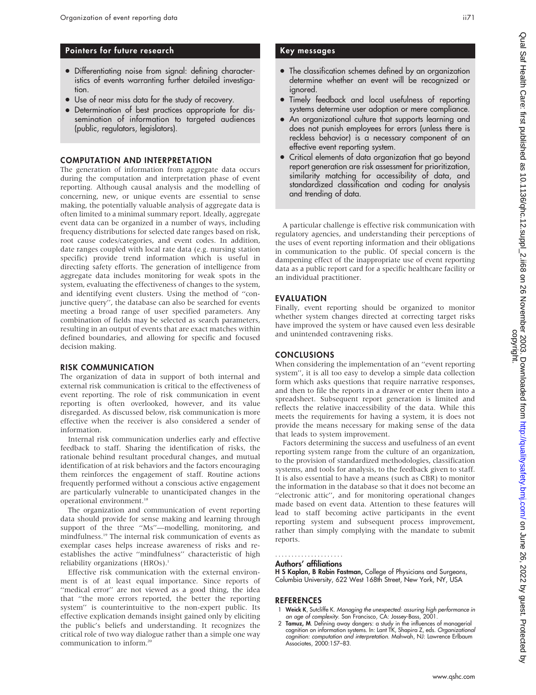#### Pointers for future research

- Differentiating noise from signal: defining characteristics of events warranting further detailed investigation.
- $\bullet$  Use of near miss data for the study of recovery.
- $\bullet$  Determination of best practices appropriate for dissemination of information to targeted audiences (public, regulators, legislators).

#### COMPUTATION AND INTERPRETATION

The generation of information from aggregate data occurs during the computation and interpretation phase of event reporting. Although causal analysis and the modelling of concerning, new, or unique events are essential to sense making, the potentially valuable analysis of aggregate data is often limited to a minimal summary report. Ideally, aggregate event data can be organized in a number of ways, including frequency distributions for selected date ranges based on risk, root cause codes/categories, and event codes. In addition, date ranges coupled with local rate data (e.g. nursing station specific) provide trend information which is useful in directing safety efforts. The generation of intelligence from aggregate data includes monitoring for weak spots in the system, evaluating the effectiveness of changes to the system, and identifying event clusters. Using the method of ''conjunctive query'', the database can also be searched for events meeting a broad range of user specified parameters. Any combination of fields may be selected as search parameters, resulting in an output of events that are exact matches within defined boundaries, and allowing for specific and focused decision making.

#### RISK COMMUNICATION

The organization of data in support of both internal and external risk communication is critical to the effectiveness of event reporting. The role of risk communication in event reporting is often overlooked, however, and its value disregarded. As discussed below, risk communication is more effective when the receiver is also considered a sender of information.

Internal risk communication underlies early and effective feedback to staff. Sharing the identification of risks, the rationale behind resultant procedural changes, and mutual identification of at risk behaviors and the factors encouraging them reinforces the engagement of staff. Routine actions frequently performed without a conscious active engagement are particularly vulnerable to unanticipated changes in the operational environment.<sup>18</sup>

The organization and communication of event reporting data should provide for sense making and learning through support of the three ''Ms''—modelling, monitoring, and mindfulness.19 The internal risk communication of events as exemplar cases helps increase awareness of risks and reestablishes the active ''mindfulness'' characteristic of high reliability organizations  $(HROs).<sup>1</sup>$ 

Effective risk communication with the external environment is of at least equal importance. Since reports of "medical error" are not viewed as a good thing, the idea that ''the more errors reported, the better the reporting system'' is counterintuitive to the non-expert public. Its effective explication demands insight gained only by eliciting the public's beliefs and understanding. It recognizes the critical role of two way dialogue rather than a simple one way communication to inform.<sup>20</sup>

# Key messages

- The classification schemes defined by an organization determine whether an event will be recognized or ignored.
- Timely feedback and local usefulness of reporting systems determine user adoption or mere compliance.
- An organizational culture that supports learning and does not punish employees for errors (unless there is reckless behavior) is a necessary component of an effective event reporting system.
- Critical elements of data organization that go beyond report generation are risk assessment for prioritization, similarity matching for accessibility of data, and standardized classification and coding for analysis and trending of data.

A particular challenge is effective risk communication with regulatory agencies, and understanding their perceptions of the uses of event reporting information and their obligations in communication to the public. Of special concern is the dampening effect of the inappropriate use of event reporting data as a public report card for a specific healthcare facility or an individual practitioner.

#### EVALUATION

Finally, event reporting should be organized to monitor whether system changes directed at correcting target risks have improved the system or have caused even less desirable and unintended contravening risks.

#### CONCLUSIONS

When considering the implementation of an ''event reporting system'', it is all too easy to develop a simple data collection form which asks questions that require narrative responses, and then to file the reports in a drawer or enter them into a spreadsheet. Subsequent report generation is limited and reflects the relative inaccessibility of the data. While this meets the requirements for having a system, it is does not provide the means necessary for making sense of the data that leads to system improvement.

Factors determining the success and usefulness of an event reporting system range from the culture of an organization, to the provision of standardized methodologies, classification systems, and tools for analysis, to the feedback given to staff. It is also essential to have a means (such as CBR) to monitor the information in the database so that it does not become an ''electronic attic'', and for monitoring operational changes made based on event data. Attention to these features will lead to staff becoming active participants in the event reporting system and subsequent process improvement, rather than simply complying with the mandate to submit reports.

#### .....................

#### Authors' affiliations

H S Kaplan, B Rabin Fastman, College of Physicians and Surgeons, Columbia University, 622 West 168th Street, New York, NY, USA

#### **REFERENCES**

- 1 Weick K, Sutcliffe K. Managing the unexpected: assuring high performance in an age of complexity. San Francisco, CA: Jossey-Bass, 2001.
- 2 Tamuz, M. Defining away dangers: a study in the influences of managerial cognition on information systems. In: Lant TK, Shapira Z, eds. Organizational cognition: computation and interpretation. Mahwah, NJ: Lawrence Erlbaum Associates, 2000:157–83.